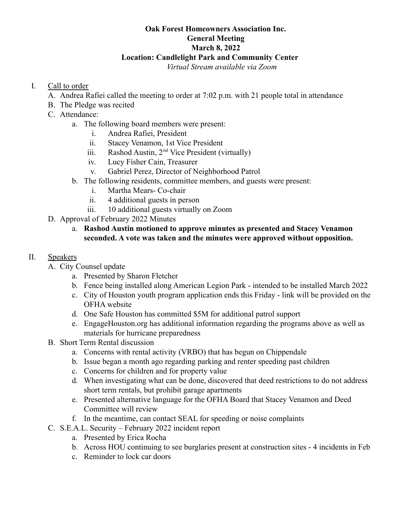# **Oak Forest Homeowners Association Inc. General Meeting March 8, 2022 Location: Candlelight Park and Community Center**

*Virtual Stream available via Zoom*

## I. Call to order

- A. Andrea Rafiei called the meeting to order at 7:02 p.m. with 21 people total in attendance
- B. The Pledge was recited
- C. Attendance:
	- a. The following board members were present:
		- i. Andrea Rafiei, President
		- ii. Stacey Venamon, 1st Vice President
		- iii. Rashod Austin,  $2<sup>nd</sup>$  Vice President (virtually)
		- iv. Lucy Fisher Cain, Treasurer
		- v. Gabriel Perez, Director of Neighborhood Patrol
	- b. The following residents, committee members, and guests were present:
		- i. Martha Mears- Co-chair
		- ii. 4 additional guests in person
		- iii. 10 additional guests virtually on Zoom
- D. Approval of February 2022 Minutes
	- a. **Rashod Austin motioned to approve minutes as presented and Stacey Venamon seconded. A vote was taken and the minutes were approved without opposition.**

## II. Speakers

- A. City Counsel update
	- a. Presented by Sharon Fletcher
	- b. Fence being installed along American Legion Park intended to be installed March 2022
	- c. City of Houston youth program application ends this Friday link will be provided on the OFHA website
	- d. One Safe Houston has committed \$5M for additional patrol support
	- e. EngageHouston.org has additional information regarding the programs above as well as materials for hurricane preparedness
- B. Short Term Rental discussion
	- a. Concerns with rental activity (VRBO) that has begun on Chippendale
	- b. Issue began a month ago regarding parking and renter speeding past children
	- c. Concerns for children and for property value
	- d. When investigating what can be done, discovered that deed restrictions to do not address short term rentals, but prohibit garage apartments
	- e. Presented alternative language for the OFHA Board that Stacey Venamon and Deed Committee will review
	- f. In the meantime, can contact SEAL for speeding or noise complaints
- C. S.E.A.L. Security February 2022 incident report
	- a. Presented by Erica Rocha
		- b. Across HOU continuing to see burglaries present at construction sites 4 incidents in Feb
		- c. Reminder to lock car doors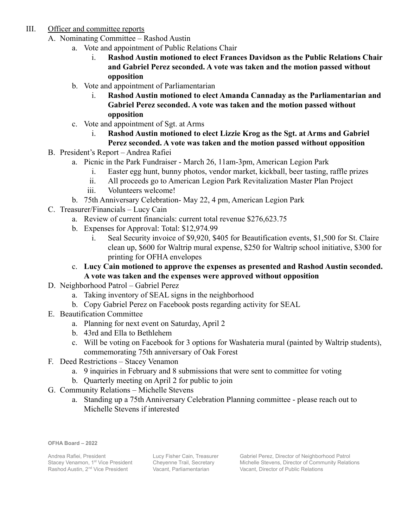- III. Officer and committee reports
	- A. Nominating Committee Rashod Austin
		- a. Vote and appointment of Public Relations Chair
			- i. **Rashod Austin motioned to elect Frances Davidson as the Public Relations Chair and Gabriel Perez seconded. A vote was taken and the motion passed without opposition**
		- b. Vote and appointment of Parliamentarian
			- i. **Rashod Austin motioned to elect Amanda Cannaday as the Parliamentarian and Gabriel Perez seconded. A vote was taken and the motion passed without opposition**
		- c. Vote and appointment of Sgt. at Arms
			- i. **Rashod Austin motioned to elect Lizzie Krog as the Sgt. at Arms and Gabriel**
	- **Perez seconded. A vote was taken and the motion passed without opposition** B. President's Report – Andrea Rafiei
		- a. Picnic in the Park Fundraiser March 26, 11am-3pm, American Legion Park
			- i. Easter egg hunt, bunny photos, vendor market, kickball, beer tasting, raffle prizes
			- ii. All proceeds go to American Legion Park Revitalization Master Plan Project
			- iii. Volunteers welcome!
			- b. 75th Anniversary Celebration- May 22, 4 pm, American Legion Park
	- C. Treasurer/Financials Lucy Cain
		- a. Review of current financials: current total revenue \$276,623.75
			- b. Expenses for Approval: Total: \$12,974.99
				- i. Seal Security invoice of \$9,920, \$405 for Beautification events, \$1,500 for St. Claire clean up, \$600 for Waltrip mural expense, \$250 for Waltrip school initiative, \$300 for printing for OFHA envelopes
		- c. **Lucy Cain motioned to approve the expenses as presented and Rashod Austin seconded. A vote was taken and the expenses were approved without opposition**
	- D. Neighborhood Patrol Gabriel Perez
		- a. Taking inventory of SEAL signs in the neighborhood
		- b. Copy Gabriel Perez on Facebook posts regarding activity for SEAL
	- E. Beautification Committee
		- a. Planning for next event on Saturday, April 2
		- b. 43rd and Ella to Bethlehem
		- c. Will be voting on Facebook for 3 options for Washateria mural (painted by Waltrip students), commemorating 75th anniversary of Oak Forest
	- F. Deed Restrictions Stacey Venamon
		- a. 9 inquiries in February and 8 submissions that were sent to committee for voting
		- b. Quarterly meeting on April 2 for public to join
	- G. Community Relations Michelle Stevens
		- a. Standing up a 75th Anniversary Celebration Planning committee please reach out to Michelle Stevens if interested

**OFHA Board – 2022**

Andrea Rafiei, President Stacey Venamon, 1<sup>st</sup> Vice President Rashod Austin, 2<sup>nd</sup> Vice President

Lucy Fisher Cain, Treasurer Cheyenne Trail, Secretary Vacant, Parliamentarian

Gabriel Perez, Director of Neighborhood Patrol Michelle Stevens, Director of Community Relations Vacant, Director of Public Relations